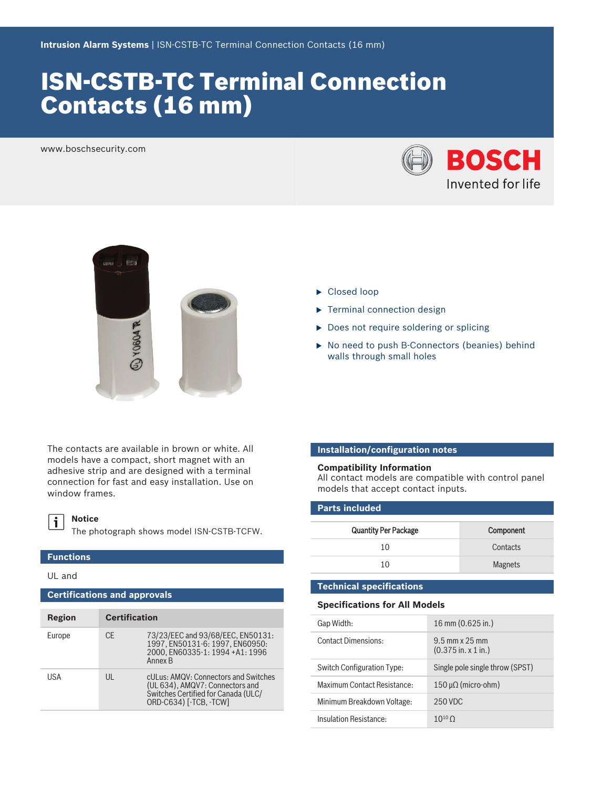# ISN‑CSTB‑TC Terminal Connection Contacts (16 mm)

www.boschsecurity.com





The contacts are available in brown or white. All models have a compact, short magnet with an adhesive strip and are designed with a terminal connection for fast and easy installation. Use on window frames.

#### **Notice**  $\mathbf i$

The photograph shows model ISN-CSTB-TCFW.

## **Functions**

UL and

| <b>Certifications and approvals</b> |                      |                                                                                                                                          |  |
|-------------------------------------|----------------------|------------------------------------------------------------------------------------------------------------------------------------------|--|
| Region                              | <b>Certification</b> |                                                                                                                                          |  |
| Europe                              | CF.                  | 73/23/EEC and 93/68/EEC, EN50131:<br>1997, EN50131-6: 1997, EN60950:<br>2000. EN60335-1: 1994 +A1: 1996<br>Annex B                       |  |
| USA                                 | $\mathsf{III}$       | cULus: AMQV: Connectors and Switches<br>(UL 634), AMQV7: Connectors and<br>Switches Certified for Canada (ULC/<br>ORD-C634) [-TCB, -TCW] |  |

- $\blacktriangleright$  Closed loop
- $\blacktriangleright$  Terminal connection design
- $\triangleright$  Does not require soldering or splicing
- ▶ No need to push B-Connectors (beanies) behind walls through small holes

### **Installation/configuration notes**

#### **Compatibility Information**

All contact models are compatible with control panel models that accept contact inputs.

### **Parts included**

| <b>Quantity Per Package</b> | Component      |
|-----------------------------|----------------|
| 10                          | Contacts       |
| 10                          | <b>Magnets</b> |

### **Technical specifications**

#### **Specifications for All Models**

| Gap Width:                  | $16 \text{ mm} (0.625 \text{ in.})$                          |
|-----------------------------|--------------------------------------------------------------|
| <b>Contact Dimensions:</b>  | $9.5$ mm x $25$ mm<br>$(0.375 \text{ in. x } 1 \text{ in.})$ |
| Switch Configuration Type:  | Single pole single throw (SPST)                              |
| Maximum Contact Resistance: | $150 \mu\Omega$ (micro-ohm)                                  |
| Minimum Breakdown Voltage:  | 250 VDC                                                      |
| Insulation Resistance:      | 10 <sup>10</sup> $\bigcap$                                   |